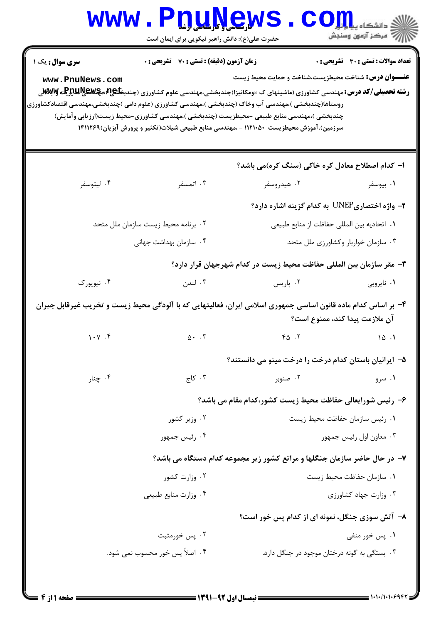| سری سوال : یک ۱<br>www.PnuNews.com  | زمان آزمون (دقیقه) : تستی : 70 ٪ تشریحی : 0<br><b>رشته تحصیلی/کد درس:</b> مهندسی کشاورزی (ماشینهای ک ×ومکانیزا)چندبخشی،مهندسی علوم کشاورزی (چندب <b>خلیج)&amp;ییچلایلیلوچی MِS</b> vِ ک<br>روستاها(چندبخشی )،مهندسی آب وخاک (چندبخشی )،مهندسی کشاورزی (علوم دامی )چندبخشی،مهندسی اقتصادکشاورزی<br>چندبخشی )،مهندسی منابع طبیعی –محیطزیست (چندبخشی )،مهندسی کشاورزی–محیط زیست(ارزیابی وآمایش)<br>سرزمین)،آموزش محیطزیست ۱۱۲۱۰۵۰ - ،مهندسی منابع طبیعی شیلات(تکثیر و پرورش آبزیان)۱۴۱۱۲۶۹ | <b>عنـــوان درس:</b> شناخت محیطزیست،شناخت و حمایت محیط زیست               | <b>تعداد سوالات : تستی : 30 ٪ تشریحی : 0</b> |
|-------------------------------------|-----------------------------------------------------------------------------------------------------------------------------------------------------------------------------------------------------------------------------------------------------------------------------------------------------------------------------------------------------------------------------------------------------------------------------------------------------------------------------------------|---------------------------------------------------------------------------|----------------------------------------------|
|                                     |                                                                                                                                                                                                                                                                                                                                                                                                                                                                                         | ا– کدام اصطلاح معادل کره خاکی (سنگ کره)می باشد؟                           |                                              |
| ۰۴ ليتوسفر                          | ۰۳ اتمسفر                                                                                                                                                                                                                                                                                                                                                                                                                                                                               | ۰۲ هیدروسفر                                                               | ۰۱ بیوسفر                                    |
|                                     |                                                                                                                                                                                                                                                                                                                                                                                                                                                                                         | ۲- واژه اختصاریUNEP به کدام گزینه اشاره دارد؟                             |                                              |
| ۰۲ برنامه محیط زیست سازمان ملل متحد |                                                                                                                                                                                                                                                                                                                                                                                                                                                                                         | ٠١ اتحاديه بين المللي حفاظت از منابع طبيعي                                |                                              |
|                                     | ۰۴ سازمان بهداشت جهانی                                                                                                                                                                                                                                                                                                                                                                                                                                                                  | ۰۳ سازمان خواربار وكشاورزي ملل متحد                                       |                                              |
|                                     |                                                                                                                                                                                                                                                                                                                                                                                                                                                                                         | ۳- مقر سازمان بین المللی حفاظت محیط زیست در کدام شهرجهان قرار دارد؟       |                                              |
| ۰۴ نیویورک                          | ۰۳ لندن                                                                                                                                                                                                                                                                                                                                                                                                                                                                                 | ۰۲ پاریس                                                                  | ۰۱ ناپروبی                                   |
|                                     | ۴- بر اساس کدام ماده قانون اساسی جمهوری اسلامی ایران، فعالیتهایی که با آلودگی محیط زیست و تخریب غیرقابل جبران                                                                                                                                                                                                                                                                                                                                                                           |                                                                           | آن ملازمت پیدا کند، ممنوع است؟               |
| 1.4                                 | $\Delta$ . $\cdot$                                                                                                                                                                                                                                                                                                                                                                                                                                                                      | 40.7                                                                      | 10.1                                         |
|                                     |                                                                                                                                                                                                                                                                                                                                                                                                                                                                                         | ۵– ایرانیان باستان کدام درخت را درخت مینو می دانستند؟                     |                                              |
| ۰۴ چنار                             | ۰۳ کاج                                                                                                                                                                                                                                                                                                                                                                                                                                                                                  | ۰۲ صنوبر                                                                  | ۰۱ سرو                                       |
|                                     |                                                                                                                                                                                                                                                                                                                                                                                                                                                                                         | ۶- رئیس شورایعالی حفاظت محیط زیست کشور،کدام مقام می باشد؟                 |                                              |
| ۰۲ وزیر کشور                        |                                                                                                                                                                                                                                                                                                                                                                                                                                                                                         | ٠١ رئيس سازمان حفاظت محيط زيست                                            |                                              |
| ۰۴ رئیس جمهور                       |                                                                                                                                                                                                                                                                                                                                                                                                                                                                                         | ۰۳ معاون اول رئيس جمهور                                                   |                                              |
|                                     |                                                                                                                                                                                                                                                                                                                                                                                                                                                                                         | ۷- در حال حاضر سازمان جنگلها و مراتع کشور زیر مجموعه کدام دستگاه می باشد؟ |                                              |
| ۰۲ وزارت کشور                       |                                                                                                                                                                                                                                                                                                                                                                                                                                                                                         | ٠١ سازمان حفاظت محيط زيست                                                 |                                              |
|                                     | ۰۴ وزارت منابع طبيعي                                                                                                                                                                                                                                                                                                                                                                                                                                                                    |                                                                           | ۰۳ وزارت جهاد کشاورزی                        |
|                                     |                                                                                                                                                                                                                                                                                                                                                                                                                                                                                         | ۸– آتش سوزی جنگل، نمونه ای از کدام پس خور است؟                            |                                              |
|                                     | ۰۲ پس خورمثبت                                                                                                                                                                                                                                                                                                                                                                                                                                                                           |                                                                           | ۰۱ پس خور منفی                               |
|                                     |                                                                                                                                                                                                                                                                                                                                                                                                                                                                                         |                                                                           |                                              |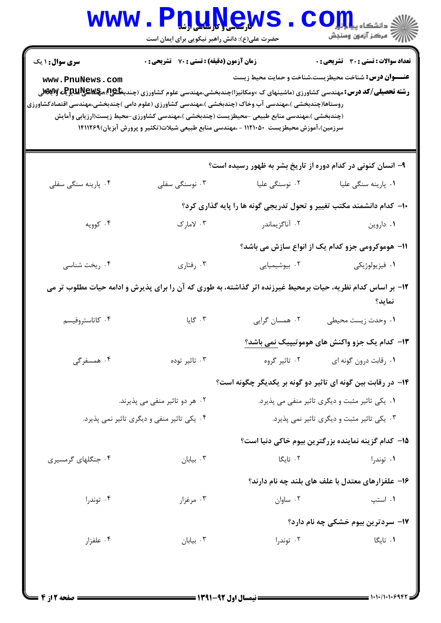## WWW.PnuNews.com اللاس مرکز آزمون وسنجش حضرت علی(ع): دانش راهبر نیکویی برای ایمان است **تعداد سوالات : تستی : 30 ٪ تشریحی : 0 سری سوال : ۱ یک زمان آزمون (دقیقه) : تستی : 70 ٪ تشریحی : 0** عنــوان درس: شناخت محیطزیست،شناخت و حمایت محیط زیست www.PnuNews.com **رشته تحصیلی/کد درس: م**هندسی کشاورزی (ماشینهای ک ×ومکانیزا)چندبخشی،مهندسی علوم کشاورزی (چندب**خانیجا) مچکلایالیالیالیالیالیا**لیا روستاها(چندبخشی )،مهندسی آب وخاک (چندبخشی )،مهندسی کشاورزی (علوم دامی )چندبخشی،مهندسی اقتصادکشاورزی (چندبخشی )،مهندسی منابع طبیعی –محیطزیست (چندبخشی )،مهندسی کشاورزی–محیط زیست(ارزیابی وآمایش سرزمین)،آموزش محیطزیست ۱۱۲۱۰۵۰ - ،مهندسی منابع طبیعی شیلات(تکثیر و پرورش آبزیان)۱۴۱۱۲۶۹ ۹- انسان کنونی در کدام دوره از تاریخ بشر به ظهور رسیده است؟ ۰۴ پا<sub>ر</sub>ینه سنگی سفلی ۰۲ نوسنگی علیا ۰۳ نوسنگی سفلی ۰۱. پا<sub>د</sub>ینه سنگے علیا ۱۰– کدام دانشمند مکتب تغییر و تحول تدریجی گونه ها را پایه گذاری کرد؟ ۰۴ کوویه  $\mathcal{L}$   $\mathcal{L}$   $\mathcal{L}$   $\mathcal{L}$ ۰۲ آناگزیماند, ۰۱ داروین 11- هوموکرومی جزو کدام یک از انواع سازش می باشد؟ ۰۴ ریخت شناسی ۰۳ , فتاری ۰۲ بیوشیمیایی **۱.** فيزيولوژيکي ۱۲- بر اساس کدام نظریه، حیات برمحیط غیرزنده اثر گذاشته، به طوری که آن را برای پذیرش و ادامه حیات مطلوب تر می نماید؟ ۰۳ گایا ۲. همسان گرایی ۰۴ کاتاستروفیسم ٠١. وحدت زيست محيطي **۱۳**– کدام یک جزو واکنش های هوموتیپیک نمی باشد؟ ۲. تاثیر گروه ۰۴ همسفرگی ۰۳ تاثیر توده ۰۱ , قابت درون گونه ای ۱۴- در رقابت بین گونه ای تاثیر دو گونه بر یکدیگر چگونه است؟ ۰۲ هر دو تاثیر منفی می پذیرند. ۰۱ یکی تاثیر مثبت و دیگری تاثیر منفی می پذیرد. ۰۴ پکی تاثیر منفی و دیگری تاثیر نمی پذیرد. ۰۳ یکی تاثیر مثبت و دیگری تاثیر نمی پذیرد. ۱۵– کدام گزینه نماینده بزرگترین بیوم خاکی دنیا است؟ ۰۴ جنگلهای گرمسیری ۰۲ تانگا  $\cdot$ بيابان ۲۰ ۰۱ توندرا ۱۶– علفزارهای معتدل با علف های بلند چه نام دارند؟

- $\cdot$ ۰۲ ساوان ۰۴ توند,ا ۰۳ مرغزار ۰۱ استب ١٧- سردترين بيوم خشكي چه نام دارد؟
- ۰۱ تانگا ۰۴ علفزا, ۰۳ بیابان ۰۲ توندرا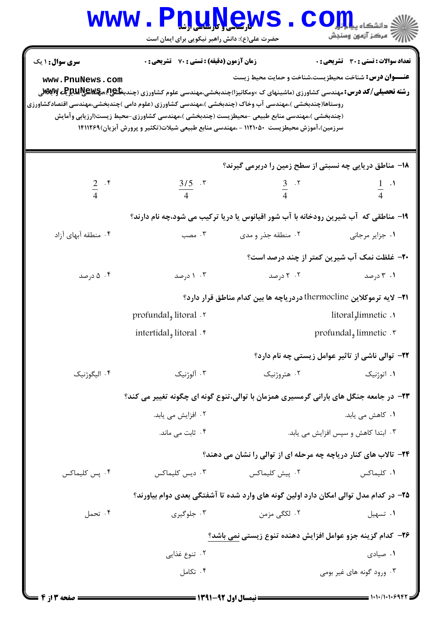| سری سوال: ۱ یک      | <b>زمان آزمون (دقیقه) : تستی : 70 ٪ تشریحی : 0</b>                                                                                                                                                                                                                                           |                                                                                       | <b>تعداد سوالات : تستی : 30 ٪ تشریحی : 0</b>        |  |
|---------------------|----------------------------------------------------------------------------------------------------------------------------------------------------------------------------------------------------------------------------------------------------------------------------------------------|---------------------------------------------------------------------------------------|-----------------------------------------------------|--|
| www.PnuNews.com     | <b>رشته تحصیلی/کد درس: مهندسی کشاورزی (ماشینهای ک ×ومکانیزا)چندبخشی،مهندسی علوم کشاورزی (چندب<del>خا£</del>@م<b>چلای آپرالیتو MSvِ آپ</b></b>                                                                                                                                                | <b>عنـــوان درس:</b> شناخت محیطزیست،شناخت و حمایت محیط زیست                           |                                                     |  |
|                     | روستاها(چندبخشی )،مهندسی آب وخاک (چندبخشی )،مهندسی کشاورزی (علوم دامی )چندبخشی،مهندسی اقتصادکشاورزی<br>(چندبخشی )،مهندسی منابع طبیعی -محیطزیست (چندبخشی )،مهندسی کشاورزی-محیط زیست(ارزیابی وآمایش<br>سرزمین)،آموزش محیطزیست ۱۱۲۱۰۵۰ - ،مهندسی منابع طبیعی شیلات(تکثیر و پرورش آبزیان)۱۴۱۱۲۶۹ |                                                                                       |                                                     |  |
|                     |                                                                                                                                                                                                                                                                                              | 1۸– مناطق دریایی چه نسبتی از سطح زمین را دربرمی گیرند؟                                |                                                     |  |
| $rac{2}{4}$ . f     | $\frac{3/5}{4}$ . r                                                                                                                                                                                                                                                                          | $\frac{3}{4}$ . T                                                                     | $\frac{1}{4}$ $\cdot$ <sup>1</sup>                  |  |
|                     |                                                                                                                                                                                                                                                                                              | ۱۹- مناطقی که آب شیرین رودخانه با آب شور اقیانوس یا دریا ترکیب می شود،چه نام دارند؟   |                                                     |  |
| ۰۴ منطقه آبهای آزاد | ۰۳ مصب                                                                                                                                                                                                                                                                                       | ۰۲ منطقه جذر و مدی                                                                    | ٠١ جزاير مرجاني                                     |  |
|                     |                                                                                                                                                                                                                                                                                              |                                                                                       | <b>۲۰</b> - غلظت نمک آب شیرین کمتر از چند درصد است؟ |  |
| ۰۴ درصد             | ۰۳ ۱ درصد                                                                                                                                                                                                                                                                                    | ۰۲ درصد                                                                               | ۰۱ ۲ درصد                                           |  |
|                     | <b>۲۱</b> – لایه ترموکلاین thermocline دردریاچه ها بین کدام مناطق قرار دارد؟                                                                                                                                                                                                                 |                                                                                       |                                                     |  |
|                     | ۲. litoral <sub>و</sub> litoral وprofundal                                                                                                                                                                                                                                                   |                                                                                       | litoral <sub>9</sub> limnetic.                      |  |
|                     | intertidal, litoral . ۴                                                                                                                                                                                                                                                                      |                                                                                       | profundal, limnetic . ٣                             |  |
|                     |                                                                                                                                                                                                                                                                                              |                                                                                       | ۲۲- توالی ناشی از تاثیر عوامل زیستی چه نام دارد؟    |  |
| ۰۴ الیگوژنیک        | ۰۳ آلوژنیک                                                                                                                                                                                                                                                                                   | ۰۲ هتروژنیک                                                                           | ۰۱ اتوژنیک                                          |  |
|                     |                                                                                                                                                                                                                                                                                              | ۲۳– در جامعه جنگل های بارانی گرمسیری همزمان با توالی،تنوع گونه ای چگونه تغییر می کند؟ |                                                     |  |
|                     | ۰۲ افزایش می یابد.                                                                                                                                                                                                                                                                           |                                                                                       | ۰۱ کاهش می یابد.                                    |  |
|                     | ۰۴ ثابت می ماند.                                                                                                                                                                                                                                                                             |                                                                                       | ۰۳ ابتدا کاهش و سپس افزایش می یابد.                 |  |
|                     |                                                                                                                                                                                                                                                                                              | <b>۲۴</b> - تالاب های کنار دریاچه چه مرحله ای از توالی را نشان می دهند؟               |                                                     |  |
| ۰۴ پس کلیماکس       | ۰۳ دیس کلیماکس                                                                                                                                                                                                                                                                               | ۰۲ پیش کلیماکس                                                                        | ۰۱ کلیماکس                                          |  |
|                     |                                                                                                                                                                                                                                                                                              | ۲۵– در کدام مدل توالی امکان دارد اولین گونه های وارد شده تا آشفتگی بعدی دوام بیاورند؟ |                                                     |  |
| ۰۴ تحمل             | ۰۳ جلوگیری                                                                                                                                                                                                                                                                                   | ۲. لکگی مزمن                                                                          | ۰۱ تسهيل                                            |  |
|                     |                                                                                                                                                                                                                                                                                              | ۲۶– کدام گزینه جزو عوامل افزایش دهنده تنوع زیستی نمی باشد؟                            |                                                     |  |
|                     | ۰۲ تنوع غذایی                                                                                                                                                                                                                                                                                |                                                                                       | ۰۱ صیادی                                            |  |
|                     | ۰۴ تکامل                                                                                                                                                                                                                                                                                     |                                                                                       | ۰۳ ورود گونه های غیر بومی                           |  |